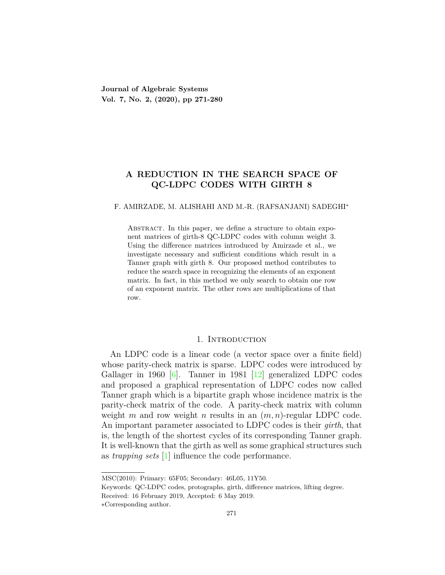**Journal of Algebraic Systems Vol. 7, No. 2, (2020), pp 271-280**

# **A REDUCTION IN THE SEARCH SPACE OF QC-LDPC CODES WITH GIRTH 8**

#### F. AMIRZADE, M. ALISHAHI AND M.-R. (RAFSANJANI) SADEGHI*<sup>∗</sup>*

ABSTRACT. In this paper, we define a structure to obtain exponent matrices of girth-8 QC-LDPC codes with column weight 3. Using the difference matrices introduced by Amirzade et al., we investigate necessary and sufficient conditions which result in a Tanner graph with girth 8. Our proposed method contributes to reduce the search space in recognizing the elements of an exponent matrix. In fact, in this method we only search to obtain one row of an exponent matrix. The other rows are multiplications of that row.

## 1. INTRODUCTION

An LDPC code is a linear code (a vector space over a finite field) whose parity-check matrix is sparse. LDPC codes were introduced by Gallager in 1960 [\[6](#page-7-0)]. Tanner in 1981 [\[12\]](#page-7-1) generalized LDPC codes and proposed a graphical representation of LDPC codes now called Tanner graph which is a bipartite graph whose incidence matrix is the parity-check matrix of the code. A parity-check matrix with column weight *m* and row weight *n* results in an (*m, n*)-regular LDPC code. An important parameter associated to LDPC codes is their *girth*, that is, the length of the shortest cycles of its corresponding Tanner graph. It is well-known that the girth as well as some graphical structures such as *trapping sets* [[1\]](#page-6-0) influence the code performance.

MSC(2010): Primary: 65F05; Secondary: 46L05, 11Y50.

Keywords: QC-LDPC codes, protographs, girth, difference matrices, lifting degree.

Received: 16 February 2019, Accepted: 6 May 2019.

*<sup>∗</sup>*Corresponding author.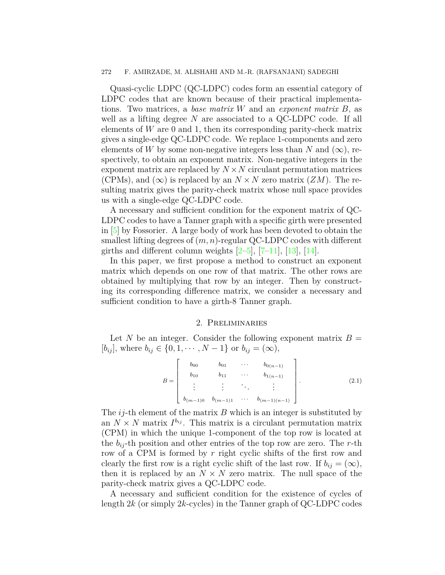#### 272 F. AMIRZADE, M. ALISHAHI AND M.-R. (RAFSANJANI) SADEGHI

Quasi-cyclic LDPC (QC-LDPC) codes form an essential category of LDPC codes that are known because of their practical implementations. Two matrices, a *base matrix W* and an *exponent matrix B*, as well as a lifting degree *N* are associated to a QC-LDPC code. If all elements of *W* are 0 and 1, then its corresponding parity-check matrix gives a single-edge QC-LDPC code. We replace 1-components and zero elements of *W* by some non-negative integers less than *N* and  $(\infty)$ , respectively, to obtain an exponent matrix. Non-negative integers in the exponent matrix are replaced by  $N \times N$  circulant permutation matrices (CPMs), and  $(\infty)$  is replaced by an  $N \times N$  zero matrix  $(ZM)$ . The resulting matrix gives the parity-check matrix whose null space provides us with a single-edge QC-LDPC code.

A necessary and sufficient condition for the exponent matrix of QC-LDPC codes to have a Tanner graph with a specific girth were presented in [\[5](#page-7-2)] by Fossorier. A large body of work has been devoted to obtain the smallest lifting degrees of (*m, n*)-regular QC-LDPC codes with different girths and different column weights  $[2-5]$  $[2-5]$  $[2-5]$ ,  $[7-11]$  $[7-11]$  $[7-11]$ ,  $[13]$  $[13]$ ,  $[14]$ .

In this paper, we first propose a method to construct an exponent matrix which depends on one row of that matrix. The other rows are obtained by multiplying that row by an integer. Then by constructing its corresponding difference matrix, we consider a necessary and sufficient condition to have a girth-8 Tanner graph.

## 2. Preliminaries

Let *N* be an integer. Consider the following exponent matrix  $B =$  $[b_{ij}]$ , where  $b_{ij} \in \{0, 1, \dots, N-1\}$  or  $b_{ij} = (\infty)$ ,

$$
B = \begin{bmatrix} b_{00} & b_{01} & \cdots & b_{0(n-1)} \\ b_{10} & b_{11} & \cdots & b_{1(n-1)} \\ \vdots & \vdots & \ddots & \vdots \\ b_{(m-1)0} & b_{(m-1)1} & \cdots & b_{(m-1)(n-1)} \end{bmatrix}.
$$
 (2.1)

The *ij*-th element of the matrix *B* which is an integer is substituted by an  $N \times N$  matrix  $I^{b_{ij}}$ . This matrix is a circulant permutation matrix (CPM) in which the unique 1-component of the top row is located at the  $b_{ij}$ -th position and other entries of the top row are zero. The *r*-th row of a CPM is formed by *r* right cyclic shifts of the first row and clearly the first row is a right cyclic shift of the last row. If  $b_{ij} = (\infty)$ , then it is replaced by an  $N \times N$  zero matrix. The null space of the parity-check matrix gives a QC-LDPC code.

A necessary and sufficient condition for the existence of cycles of length 2*k* (or simply 2*k*-cycles) in the Tanner graph of QC-LDPC codes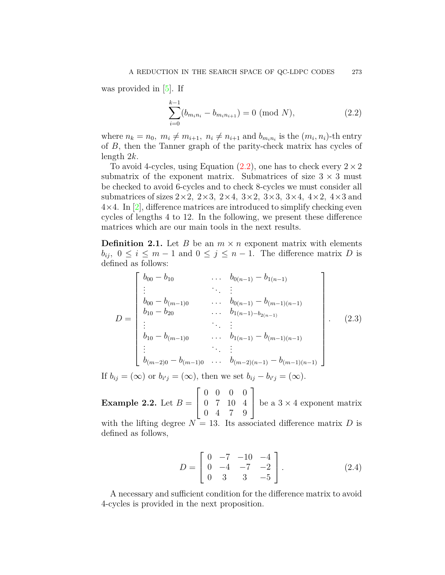was provided in  $[5]$ . If

<span id="page-2-0"></span>
$$
\sum_{i=0}^{k-1} (b_{m_i n_i} - b_{m_i n_{i+1}}) = 0 \text{ (mod } N),
$$
 (2.2)

where  $n_k = n_0$ ,  $m_i \neq m_{i+1}$ ,  $n_i \neq n_{i+1}$  and  $b_{m_i n_i}$  is the  $(m_i, n_i)$ -th entry of *B*, then the Tanner graph of the parity-check matrix has cycles of length 2*k*.

To avoid 4-cycles, using Equation ([2.2\)](#page-2-0), one has to check every 2*×*2 submatrix of the exponent matrix. Submatrices of size  $3 \times 3$  must be checked to avoid 6-cycles and to check 8-cycles we must consider all submatrices of sizes  $2\times2$ ,  $2\times3$ ,  $2\times4$ ,  $3\times2$ ,  $3\times3$ ,  $3\times4$ ,  $4\times2$ ,  $4\times3$  and 4*×*4. In [[2](#page-7-3)], difference matrices are introduced to simplify checking even cycles of lengths 4 to 12. In the following, we present these difference matrices which are our main tools in the next results.

**Definition 2.1.** Let *B* be an  $m \times n$  exponent matrix with elements  $b_{ij}$ ,  $0 \leq i \leq m-1$  and  $0 \leq j \leq n-1$ . The difference matrix *D* is defined as follows:

$$
D = \begin{bmatrix} b_{00} - b_{10} & \dots & b_{0(n-1)} - b_{1(n-1)} \\ \vdots & \ddots & \vdots \\ b_{00} - b_{(m-1)0} & \dots & b_{0(n-1)} - b_{(m-1)(n-1)} \\ b_{10} - b_{20} & \dots & b_{1(n-1)-b_{2(n-1)}} \\ \vdots & \ddots & \vdots \\ b_{10} - b_{(m-1)0} & \dots & b_{1(n-1)} - b_{(m-1)(n-1)} \\ \vdots & \ddots & \vdots \\ b_{(m-2)0} - b_{(m-1)0} & \dots & b_{(m-2)(n-1)} - b_{(m-1)(n-1)} \end{bmatrix} .
$$
 (2.3)

If  $b_{ij} = (\infty)$  or  $b_{i'j} = (\infty)$ , then we set  $b_{ij} - b_{i'j} = (\infty)$ .

<span id="page-2-1"></span>**Example 2.2.** Let  $B =$  $\sqrt{ }$  $\mathbf{I}$ 0 0 0 0 0 7 10 4 0 4 7 9 ׀ be a  $3 \times 4$  exponent matrix

with the lifting degree  $N = 13$ . Its associated difference matrix *D* is defined as follows,

$$
D = \begin{bmatrix} 0 & -7 & -10 & -4 \\ 0 & -4 & -7 & -2 \\ 0 & 3 & 3 & -5 \end{bmatrix}.
$$
 (2.4)

A necessary and sufficient condition for the difference matrix to avoid 4-cycles is provided in the next proposition.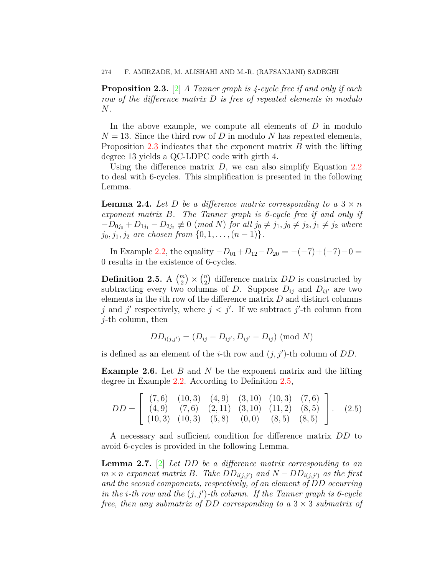<span id="page-3-0"></span>**Proposition 2.3.** [\[2\]](#page-7-3) *A Tanner graph is 4-cycle free if and only if each row of the difference matrix D is free of repeated elements in modulo N.*

In the above example, we compute all elements of *D* in modulo  $N = 13$ . Since the third row of *D* in modulo *N* has repeated elements, Proposition [2.3](#page-3-0) indicates that the exponent matrix *B* with the lifting degree 13 yields a QC-LDPC code with girth 4.

Using the difference matrix *D*, we can also simplify Equation [2.2](#page-2-0) to deal with 6-cycles. This simplification is presented in the following Lemma.

<span id="page-3-4"></span>**Lemma 2.4.** Let D be a difference matrix corresponding to a  $3 \times n$ *exponent matrix B. The Tanner graph is 6-cycle free if and only if*  $-D_{0j_0} + D_{1j_1} - D_{2j_2} \neq 0 \pmod{N}$  for all  $j_0 \neq j_1, j_0 \neq j_2, j_1 \neq j_2$  where  $j_0, j_1, j_2$  *are chosen from*  $\{0, 1, \ldots, (n-1)\}.$ 

In Example [2.2,](#page-2-1) the equality  $-D_{01} + D_{12} - D_{20} = -(-7) + (-7) - 0 =$ 0 results in the existence of 6-cycles.

<span id="page-3-1"></span>Definition 2.5. A  $\binom{m}{2} \times \binom{n}{2}$  $\binom{n}{2}$  difference matrix *DD* is constructed by subtracting every two columns of *D*. Suppose  $D_{ij}$  and  $D_{ij'}$  are two elements in the *i*th row of the difference matrix *D* and distinct columns *j* and *j'* respectively, where  $j < j'$ . If we subtract *j'*-th column from *j*-th column, then

$$
DD_{i(j,j')} = (D_{ij} - D_{ij'}, D_{ij'} - D_{ij}) \pmod{N}
$$

is defined as an element of the *i*-th row and (*j, j′* )-th column of *DD*.

<span id="page-3-2"></span>**Example 2.6.** Let *B* and *N* be the exponent matrix and the lifting degree in Example [2.2](#page-2-1). According to Definition [2.5,](#page-3-1)

$$
DD = \left[ \begin{array}{cccccc} (7,6) & (10,3) & (4,9) & (3,10) & (10,3) & (7,6) \\ (4,9) & (7,6) & (2,11) & (3,10) & (11,2) & (8,5) \\ (10,3) & (10,3) & (5,8) & (0,0) & (8,5) & (8,5) \end{array} \right].
$$
 (2.5)

A necessary and sufficient condition for difference matrix *DD* to avoid 6-cycles is provided in the following Lemma.

<span id="page-3-3"></span>**Lemma 2.7.** [[2\]](#page-7-3) *Let DD be a difference matrix corresponding to an*  $m \times n$  *exponent matrix*  $B$ *. Take*  $DD_{i(j,j')}$  *and*  $N - DD_{i(j,j')}$  *as the first and the second components, respectively, of an element of DD occurring in the i*-th row and the  $(j, j')$ -th column. If the Tanner graph is 6-cycle *free, then any submatrix of DD corresponding to a*  $3 \times 3$  *submatrix of*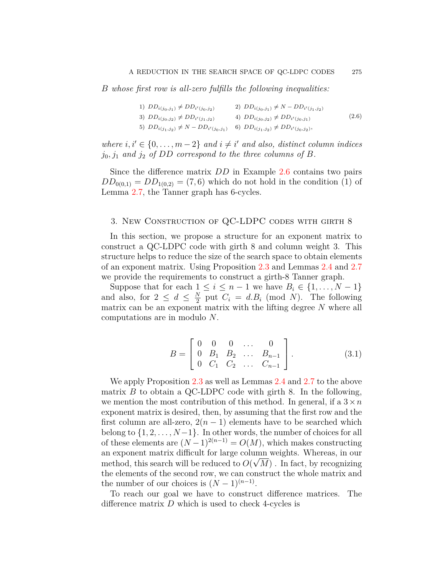*B whose first row is all-zero fulfills the following inequalities:*

1) 
$$
DD_{i(j_0,j_1)} \neq DD_{i'(j_0,j_2)}
$$
  
\n2)  $DD_{i(j_0,j_1)} \neq N - DD_{i'(j_1,j_2)}$   
\n3)  $DD_{i(j_0,j_2)} \neq DD_{i'(j_1,j_2)}$   
\n4)  $DD_{i(j_0,j_2)} \neq DD_{i'(j_0,j_1)}$   
\n5)  $DD_{i(j_1,j_2)} \neq N - DD_{i'(j_0,j_1)}$   
\n6)  $DD_{i(j_1,j_2)} \neq DD_{i'(j_0,j_2)}$ ,  
\n(2.6)

*where*  $i, i' \in \{0, \ldots, m-2\}$  *and*  $i \neq i'$  *and also, distinct column indices*  $j_0, j_1$  *and*  $j_2$  *of DD correspond to the three columns of B.* 

Since the difference matrix *DD* in Example [2.6](#page-3-2) contains two pairs  $DD_{0(0,1)} = DD_{1(0,2)} = (7,6)$  which do not hold in the condition (1) of Lemma [2.7](#page-3-3), the Tanner graph has 6-cycles.

### 3. New Construction of QC-LDPC codes with girth 8

In this section, we propose a structure for an exponent matrix to construct a QC-LDPC code with girth 8 and column weight 3. This structure helps to reduce the size of the search space to obtain elements of an exponent matrix. Using Proposition [2.3](#page-3-0) and Lemmas [2.4](#page-3-4) and [2.7](#page-3-3) we provide the requirements to construct a girth-8 Tanner graph.

Suppose that for each  $1 \leq i \leq n-1$  we have  $B_i \in \{1, \ldots, N-1\}$ and also, for  $2 \leq d \leq \frac{N}{2}$  $\frac{N}{2}$  put  $C_i = d.B_i \pmod{N}$ . The following matrix can be an exponent matrix with the lifting degree *N* where all computations are in modulo *N*.

$$
B = \begin{bmatrix} 0 & 0 & 0 & \dots & 0 \\ 0 & B_1 & B_2 & \dots & B_{n-1} \\ 0 & C_1 & C_2 & \dots & C_{n-1} \end{bmatrix} .
$$
 (3.1)

We apply Proposition [2.3](#page-3-0) as well as Lemmas [2.4](#page-3-4) and [2.7](#page-3-3) to the above matrix *B* to obtain a QC-LDPC code with girth 8. In the following, we mention the most contribution of this method. In general, if a  $3 \times n$ exponent matrix is desired, then, by assuming that the first row and the first column are all-zero,  $2(n-1)$  elements have to be searched which belong to *{*1*,* 2*, . . . , N−*1*}*. In other words, the number of choices for all of these elements are  $(N-1)^{2(n-1)} = O(M)$ , which makes constructing an exponent matrix difficult for large column weights. Whereas, in our *√* method, this search will be reduced to  $O(\sqrt{M})$  . In fact, by recognizing the elements of the second row, we can construct the whole matrix and the number of our choices is  $(N-1)^{(n-1)}$ .

To reach our goal we have to construct difference matrices. The difference matrix *D* which is used to check 4-cycles is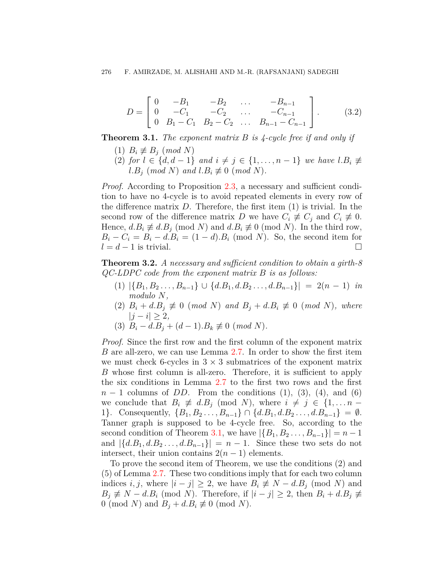$$
D = \begin{bmatrix} 0 & -B_1 & -B_2 & \dots & -B_{n-1} \\ 0 & -C_1 & -C_2 & \dots & -C_{n-1} \\ 0 & B_1 - C_1 & B_2 - C_2 & \dots & B_{n-1} - C_{n-1} \end{bmatrix}.
$$
 (3.2)

<span id="page-5-0"></span>**Theorem 3.1.** *The exponent matrix B is 4-cycle free if and only if*

- $(1)$   $B_i \not\equiv B_j \pmod{N}$
- (2) *for*  $l \in \{d, d-1\}$  *and*  $i \neq j \in \{1, ..., n-1\}$  *we have*  $l.B_i \neq j$ *l.B*<sup>*j*</sup> (*mod N*) *and l.B*<sup>*i*</sup>  $\neq$  0 (*mod N*).

*Proof.* According to Proposition [2.3](#page-3-0), a necessary and sufficient condition to have no 4-cycle is to avoid repeated elements in every row of the difference matrix *D*. Therefore, the first item (1) is trivial. In the second row of the difference matrix *D* we have  $C_i \not\equiv C_j$  and  $C_i \not\equiv 0$ . Hence,  $d.B_i \not\equiv d.B_j \pmod{N}$  and  $d.B_i \not\equiv 0 \pmod{N}$ . In the third row,  $B_i - C_i = B_i - d.B_i = (1 - d)B_i \pmod{N}$ . So, the second item for  $l = d - 1$  is trivial.  $\Box$ 

<span id="page-5-1"></span>**Theorem 3.2.** *A necessary and sufficient condition to obtain a girth-8 QC-LDPC code from the exponent matrix B is as follows:*

- $(1)$   $|\{B_1, B_2, \ldots, B_{n-1}\}\cup \{d.B_1, d.B_2, \ldots, d.B_{n-1}\}| = 2(n-1)$  *in modulo N,*
- (2)  $B_i + d.B_j \not\equiv 0 \pmod{N}$  and  $B_j + d.B_i \not\equiv 0 \pmod{N}$ , where  $|i - i|$  > 2*,*
- (3)  $B_i d.B_i + (d-1).B_k \not\equiv 0 \pmod{N}$ .

*Proof.* Since the first row and the first column of the exponent matrix *B* are all-zero, we can use Lemma [2.7](#page-3-3). In order to show the first item we must check 6-cycles in  $3 \times 3$  submatrices of the exponent matrix *B* whose first column is all-zero. Therefore, it is sufficient to apply the six conditions in Lemma [2.7](#page-3-3) to the first two rows and the first *n* − 1 columns of *DD*. From the conditions (1), (3), (4), and (6) we conclude that  $B_i \not\equiv d.B_j \pmod{N}$ , where  $i \neq j \in \{1, \ldots n - j\}$ 1*}*. Consequently,  $\{B_1, B_2, \ldots, B_{n-1}\} \cap \{d.B_1, d.B_2, \ldots, d.B_{n-1}\} = \emptyset$ . Tanner graph is supposed to be 4-cycle free. So, according to the second condition of Theorem [3.1,](#page-5-0) we have  $|{B_1, B_2, ..., B_{n-1}}| = n-1$ and  $|\{d.B_1, d.B_2, \ldots, d.B_{n-1}\}| = n - 1$ . Since these two sets do not intersect, their union contains  $2(n-1)$  elements.

To prove the second item of Theorem, we use the conditions (2) and (5) of Lemma [2.7](#page-3-3). These two conditions imply that for each two column indices *i, j,* where  $|i - j| \geq 2$ , we have  $B_i \not\equiv N - d.B_j \pmod{N}$  and  $B_j \not\equiv N - d.B_i \pmod{N}$ . Therefore, if  $|i - j| \geq 2$ , then  $B_i + d.B_j \not\equiv$ 0 (mod *N*) and  $B_i + d.B_i \not\equiv 0 \pmod{N}$ .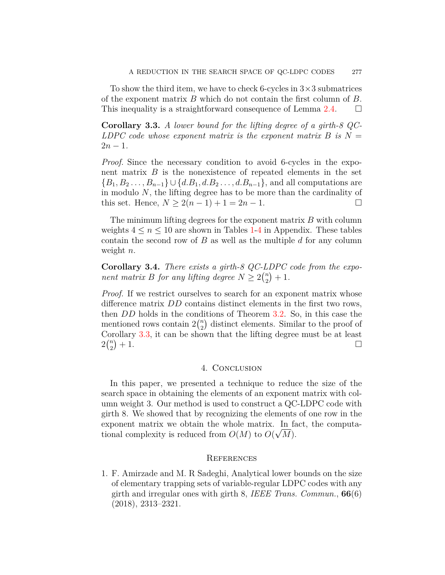To show the third item, we have to check 6-cycles in 3*×*3 submatrices of the exponent matrix *B* which do not contain the first column of *B*. This inequality is a straightforward consequence of Lemma [2.4.](#page-3-4)  $\Box$ 

<span id="page-6-1"></span>**Corollary 3.3.** *A lower bound for the lifting degree of a girth-8 QC-LDPC* code whose exponent matrix is the exponent matrix  $B$  *is*  $N =$  $2n - 1$ .

*Proof.* Since the necessary condition to avoid 6-cycles in the exponent matrix *B* is the nonexistence of repeated elements in the set *{B*1*, B*<sup>2</sup> *. . . , B<sup>n</sup>−*<sup>1</sup>*} ∪ {d.B*1*, d.B*<sup>2</sup> *. . . , d.B<sup>n</sup>−*<sup>1</sup>*}*, and all computations are in modulo *N*, the lifting degree has to be more than the cardinality of this set. Hence,  $N \ge 2(n-1) + 1 = 2n - 1$ .

The minimum lifting degrees for the exponent matrix *B* with column weights  $4 \leq n \leq 10$  $4 \leq n \leq 10$  $4 \leq n \leq 10$  are shown in Tables 1[-4](#page-9-0) in Appendix. These tables contain the second row of *B* as well as the multiple *d* for any column weight *n*.

**Corollary 3.4.** *There exists a girth-8 QC-LDPC code from the exponent matrix B for any lifting degree*  $N \geq 2\binom{n}{2}$  $\binom{n}{2} + 1$ .

*Proof.* If we restrict ourselves to search for an exponent matrix whose difference matrix *DD* contains distinct elements in the first two rows, then *DD* holds in the conditions of Theorem [3.2.](#page-5-1) So, in this case the mentioned rows contain  $2\binom{n}{2}$  $\binom{n}{2}$  distinct elements. Similar to the proof of Corollary [3.3](#page-6-1), it can be shown that the lifting degree must be at least  $2\binom{n}{2}$  $\binom{n}{2}$  $+1.$ 

## 4. Conclusion

In this paper, we presented a technique to reduce the size of the search space in obtaining the elements of an exponent matrix with column weight 3. Our method is used to construct a QC-LDPC code with girth 8. We showed that by recognizing the elements of one row in the exponent matrix we obtain the whole matrix. In fact, the computational complexity is reduced from  $O(M)$  to  $O(\sqrt{M})$ .

## **REFERENCES**

<span id="page-6-0"></span>1. F. Amirzade and M. R Sadeghi, Analytical lower bounds on the size of elementary trapping sets of variable-regular LDPC codes with any girth and irregular ones with girth 8, *IEEE Trans. Commun.*, **66**(6) (2018), 2313–2321.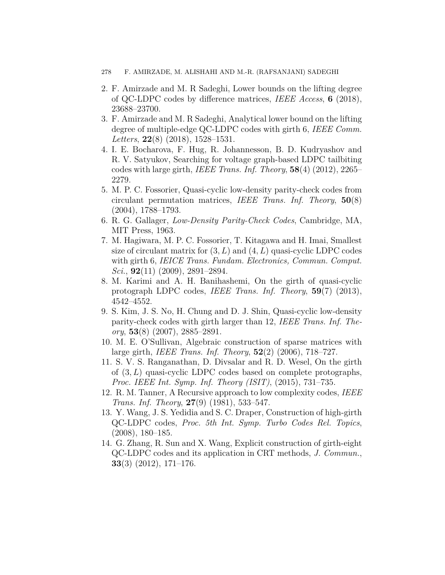### 278 F. AMIRZADE, M. ALISHAHI AND M.-R. (RAFSANJANI) SADEGHI

- <span id="page-7-3"></span>2. F. Amirzade and M. R Sadeghi, Lower bounds on the lifting degree of QC-LDPC codes by difference matrices, *IEEE Access*, **6** (2018), 23688–23700.
- 3. F. Amirzade and M. R Sadeghi, Analytical lower bound on the lifting degree of multiple-edge QC-LDPC codes with girth 6, *IEEE Comm. Letters*, **22**(8) (2018), 1528–1531.
- 4. I. E. Bocharova, F. Hug, R. Johannesson, B. D. Kudryashov and R. V. Satyukov, Searching for voltage graph-based LDPC tailbiting codes with large girth, *IEEE Trans. Inf. Theory*, **58**(4) (2012), 2265– 2279.
- <span id="page-7-2"></span>5. M. P. C. Fossorier, Quasi-cyclic low-density parity-check codes from circulant permutation matrices, *IEEE Trans. Inf. Theory*, **50**(8) (2004), 1788–1793.
- <span id="page-7-0"></span>6. R. G. Gallager, *Low-Density Parity-Check Codes*, Cambridge, MA, MIT Press, 1963.
- <span id="page-7-4"></span>7. M. Hagiwara, M. P. C. Fossorier, T. Kitagawa and H. Imai, Smallest size of circulant matrix for (3*, L*) and (4*, L*) quasi-cyclic LDPC codes with girth 6, *IEICE Trans. Fundam. Electronics, Commun. Comput. Sci.*, **92**(11) (2009), 2891–2894.
- 8. M. Karimi and A. H. Banihashemi, On the girth of quasi-cyclic protograph LDPC codes, *IEEE Trans. Inf. Theory*, **59**(7) (2013), 4542–4552.
- 9. S. Kim, J. S. No, H. Chung and D. J. Shin, Quasi-cyclic low-density parity-check codes with girth larger than 12, *IEEE Trans. Inf. Theory*, **53**(8) (2007), 2885–2891.
- 10. M. E. O'Sullivan, Algebraic construction of sparse matrices with large girth, *IEEE Trans. Inf. Theory*, **52**(2) (2006), 718–727.
- <span id="page-7-5"></span>11. S. V. S. Ranganathan, D. Divsalar and R. D. Wesel, On the girth of (3*, L*) quasi-cyclic LDPC codes based on complete protographs, *Proc. IEEE Int. Symp. Inf. Theory (ISIT)*, (2015), 731–735.
- <span id="page-7-1"></span>12. R. M. Tanner, A Recursive approach to low complexity codes, *IEEE Trans. Inf. Theory*, **27**(9) (1981), 533–547.
- <span id="page-7-6"></span>13. Y. Wang, J. S. Yedidia and S. C. Draper, Construction of high-girth QC-LDPC codes, *Proc. 5th Int. Symp. Turbo Codes Rel. Topics*, (2008), 180–185.
- <span id="page-7-7"></span>14. G. Zhang, R. Sun and X. Wang, Explicit construction of girth-eight QC-LDPC codes and its application in CRT methods, *J. Commun.*, **33**(3) (2012), 171–176.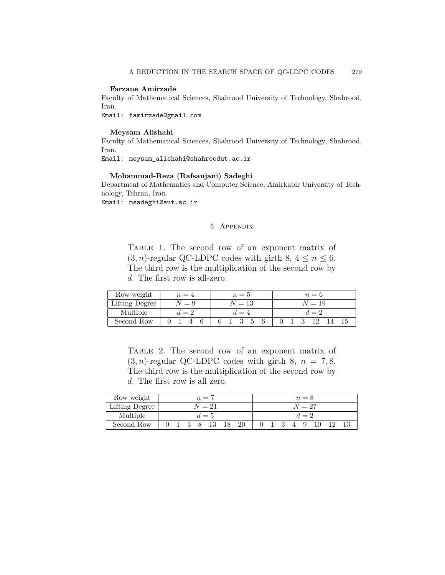#### **Farzane Amirzade**

Faculty of Mathematical Sciences, Shahrood University of Technology, Shahrood, Iran.

Email: famirzade@gmail.com

#### **Meysam Alishahi**

Faculty of Mathematical Sciences, Shahrood University of Technology, Shahrood, Iran.

Email: meysam\_alishahi@shahroodut.ac.ir

#### **Mohammad-Reza (Rafsanjani) Sadeghi**

Department of Mathematics and Computer Science, Amirkabir University of Technology, Tehran, Iran.

Email: msadeghi@aut.ac.ir

#### <span id="page-8-0"></span>5. Appendix

Table 1. The second row of an exponent matrix of  $(3, n)$ -regular QC-LDPC codes with girth 8,  $4 \leq n \leq 6$ . The third row is the multiplication of the second row by *d*. The first row is all-zero.

| Row weight     | $n=4$ | $n=5$   | $n=6$  |  |  |  |  |  |
|----------------|-------|---------|--------|--|--|--|--|--|
| Lifting Degree | $N=9$ | $N=13$  | $N=19$ |  |  |  |  |  |
| Multiple       | $d=2$ | $d = 4$ | $d=2$  |  |  |  |  |  |
| Second Row     |       |         |        |  |  |  |  |  |

Table 2. The second row of an exponent matrix of  $(3, n)$ -regular QC-LDPC codes with girth 8,  $n = 7, 8$ . The third row is the multiplication of the second row by *d*. The first row is all zero.

| Row weight     | $n=7$ |        |  |               |  |    |    |  | $n=8$  |  |  |  |  |  |  |  |  |
|----------------|-------|--------|--|---------------|--|----|----|--|--------|--|--|--|--|--|--|--|--|
| Lifting Degree |       | $N=21$ |  |               |  |    |    |  | $N=27$ |  |  |  |  |  |  |  |  |
| Multiple       |       | $d=5$  |  |               |  |    |    |  | $d=2$  |  |  |  |  |  |  |  |  |
| Second Row     |       |        |  | $\mathcal{R}$ |  | 18 | 20 |  |        |  |  |  |  |  |  |  |  |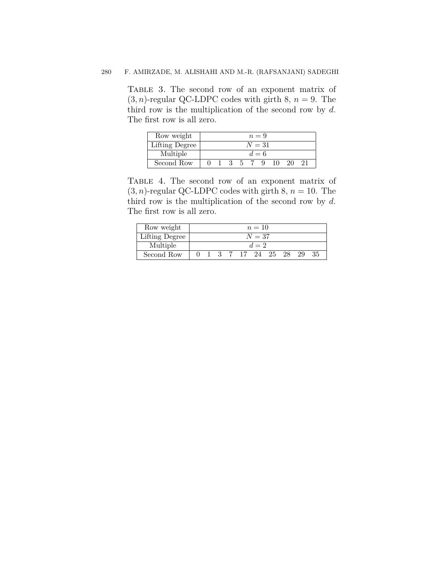## 280 F. AMIRZADE, M. ALISHAHI AND M.-R. (RAFSANJANI) SADEGHI

Table 3. The second row of an exponent matrix of  $(3, n)$ -regular QC-LDPC codes with girth 8,  $n = 9$ . The third row is the multiplication of the second row by *d*. The first row is all zero.

| Row weight     |        |  |             |     |       | $n=9$ |    |    |  |  |  |
|----------------|--------|--|-------------|-----|-------|-------|----|----|--|--|--|
| Lifting Degree | $N=31$ |  |             |     |       |       |    |    |  |  |  |
| Multiple       |        |  |             |     | $d=6$ |       |    |    |  |  |  |
| Second Row     |        |  | $1 \quad 3$ | - 5 |       | - Q   | 10 | 20 |  |  |  |

<span id="page-9-0"></span>Table 4. The second row of an exponent matrix of  $(3, n)$ -regular QC-LDPC codes with girth 8,  $n = 10$ . The third row is the multiplication of the second row by *d*. The first row is all zero.

| Row weight     |        |  |  |  |  | $n=10$          |  |  |    |    |  |  |
|----------------|--------|--|--|--|--|-----------------|--|--|----|----|--|--|
| Lifting Degree | $N=37$ |  |  |  |  |                 |  |  |    |    |  |  |
| Multiple       |        |  |  |  |  | $d=2$           |  |  |    |    |  |  |
| Second Row     |        |  |  |  |  | 3 7 17 24 25 28 |  |  | 29 | 35 |  |  |